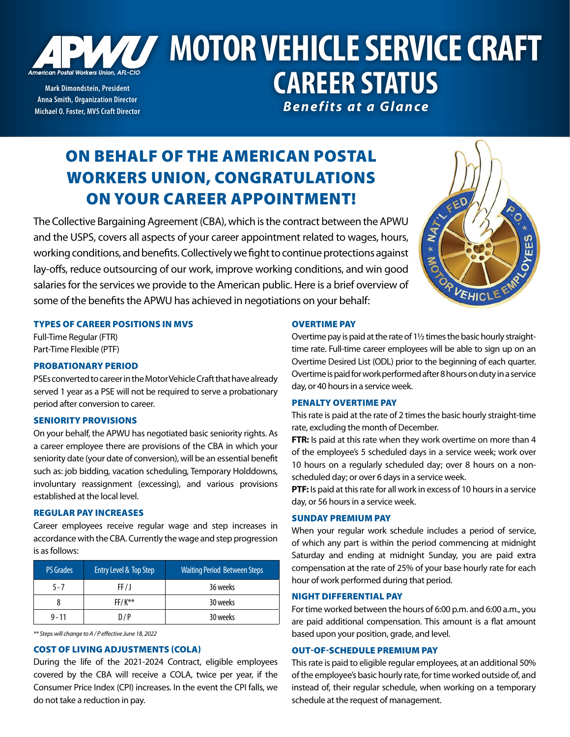

**Mark Dimondstein, President Anna Smith, Organization Director Michael O. Foster, MVS Craft Director**

# **MOTOR VEHICLE SERVICE CRAFT CAREER STATUS**

*Benefits at a Glance*

# ON BEHALF OF THE AMERICAN POSTAL WORKERS UNION, CONGRATULATIONS ON YOUR CAREER APPOINTMENT!

The Collective Bargaining Agreement (CBA), which is the contract between the APWU and the USPS, covers all aspects of your career appointment related to wages, hours, working conditions, and benefits. Collectively we fight to continue protections against lay-offs, reduce outsourcing of our work, improve working conditions, and win good salaries for the services we provide to the American public. Here is a brief overview of some of the benefits the APWU has achieved in negotiations on your behalf:

# TYPES OF CAREER POSITIONS IN MVS

Full-Time Regular (FTR) Part-Time Flexible (PTF)

# PROBATIONARY PERIOD

PSEs converted to career in the Motor Vehicle Craft that have already served 1 year as a PSE will not be required to serve a probationary period after conversion to career.

# SENIORITY PROVISIONS

On your behalf, the APWU has negotiated basic seniority rights. As a career employee there are provisions of the CBA in which your seniority date (your date of conversion), will be an essential benefit such as: job bidding, vacation scheduling, Temporary Holddowns, involuntary reassignment (excessing), and various provisions established at the local level.

# REGULAR PAY INCREASES

Career employees receive regular wage and step increases in accordance with the CBA. Currently the wage and step progression is as follows:

| <b>PS Grades</b> | Entry Level & Top Step | <b>Waiting Period Between Steps</b> |
|------------------|------------------------|-------------------------------------|
| 5 - 7            | FF/J                   | 36 weeks                            |
|                  | $FF/K**$               | 30 weeks                            |
| $9 - 11$         | D/P                    | 30 weeks                            |

*\*\* Steps will change to A / P effective June 18, 2022*

# COST OF LIVING ADJUSTMENTS (COLA)

During the life of the 2021-2024 Contract, eligible employees covered by the CBA will receive a COLA, twice per year, if the Consumer Price Index (CPI) increases. In the event the CPI falls, we do not take a reduction in pay.

# OVERTIME PAY

Overtime pay is paid at the rate of 1½ times the basic hourly straighttime rate. Full-time career employees will be able to sign up on an Overtime Desired List (ODL) prior to the beginning of each quarter. Overtime is paid for work performed after 8 hours on duty in a service day, or 40 hours in a service week.

# PENALTY OVERTIME PAY

This rate is paid at the rate of 2 times the basic hourly straight-time rate, excluding the month of December.

**FTR:** Is paid at this rate when they work overtime on more than 4 of the employee's 5 scheduled days in a service week; work over 10 hours on a regularly scheduled day; over 8 hours on a nonscheduled day; or over 6 days in a service week.

**PTF:** Is paid at this rate for all work in excess of 10 hours in a service day, or 56 hours in a service week.

#### SUNDAY PREMIUM PAY

When your regular work schedule includes a period of service, of which any part is within the period commencing at midnight Saturday and ending at midnight Sunday, you are paid extra compensation at the rate of 25% of your base hourly rate for each hour of work performed during that period.

# NIGHT DIFFERENTIAL PAY

For time worked between the hours of 6:00 p.m. and 6:00 a.m., you are paid additional compensation. This amount is a flat amount based upon your position, grade, and level.

# OUT-OF-SCHEDULE PREMIUM PAY

This rate is paid to eligible regular employees, at an additional 50% of the employee's basic hourly rate, for time worked outside of, and instead of, their regular schedule, when working on a temporary schedule at the request of management.